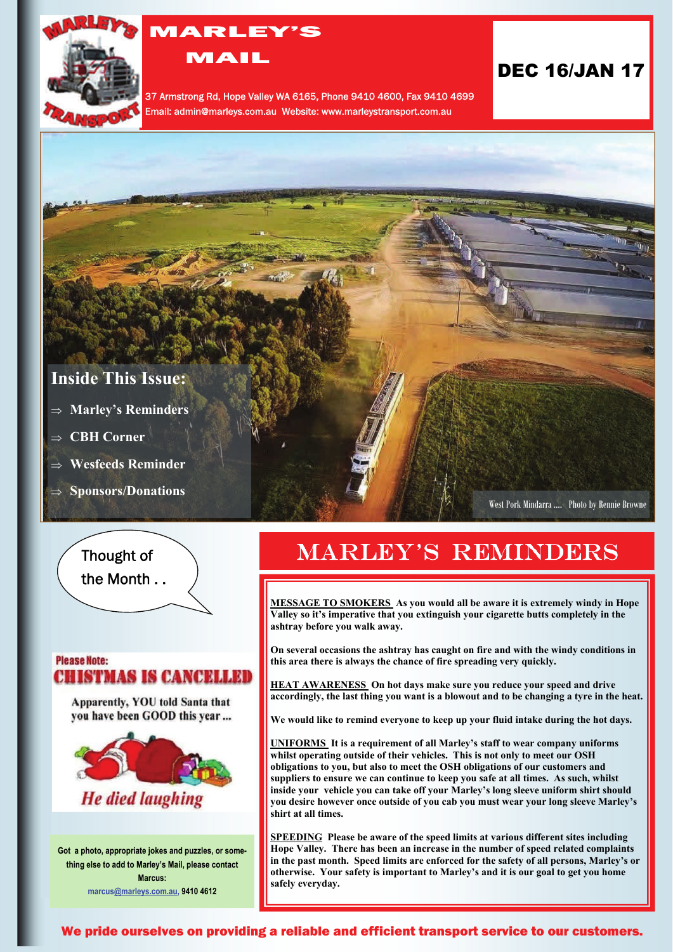

## MARLEY'S

MAIL

37 Armstrong Rd, Hope Valley WA 6165, Phone 9410 4600, Fax 9410 4699 Email: admin@marleys.com.au Website: www.marleystransport.com.au

## DEC 16/JAN 17

## **Inside This Issue:**

- **Marley's Reminders**
- **CBH Corner**
- **Wesfeeds Reminder**
- **Sponsors/Donations**

West Pork Mindarra …. Photo by Rennie Browne

 Thought of the Month . .

### **Please Note: CHISTMAS IS CANCELLED**

Apparently, YOU told Santa that you have been GOOD this year ...



**Got a photo, appropriate jokes and puzzles, or something else to add to Marley's Mail, please contact Marcus: marcu[s@marleys.com.au](mailto:ivana@marleys.com.au), 9410 4612**

# **MARLEY'S REMINDERS**

**MESSAGE TO SMOKERS As you would all be aware it is extremely windy in Hope Valley so it's imperative that you extinguish your cigarette butts completely in the ashtray before you walk away.** 

**On several occasions the ashtray has caught on fire and with the windy conditions in this area there is always the chance of fire spreading very quickly.** 

**HEAT AWARENESS On hot days make sure you reduce your speed and drive accordingly, the last thing you want is a blowout and to be changing a tyre in the heat.** 

**We would like to remind everyone to keep up your fluid intake during the hot days.** 

**UNIFORMS It is a requirement of all Marley's staff to wear company uniforms whilst operating outside of their vehicles. This is not only to meet our OSH obligations to you, but also to meet the OSH obligations of our customers and suppliers to ensure we can continue to keep you safe at all times. As such, whilst inside your vehicle you can take off your Marley's long sleeve uniform shirt should you desire however once outside of you cab you must wear your long sleeve Marley's shirt at all times.** 

**SPEEDING Please be aware of the speed limits at various different sites including Hope Valley. There has been an increase in the number of speed related complaints in the past month. Speed limits are enforced for the safety of all persons, Marley's or otherwise. Your safety is important to Marley's and it is our goal to get you home safely everyday.** 

We pride ourselves on providing a reliable and efficient transport service to our customers.